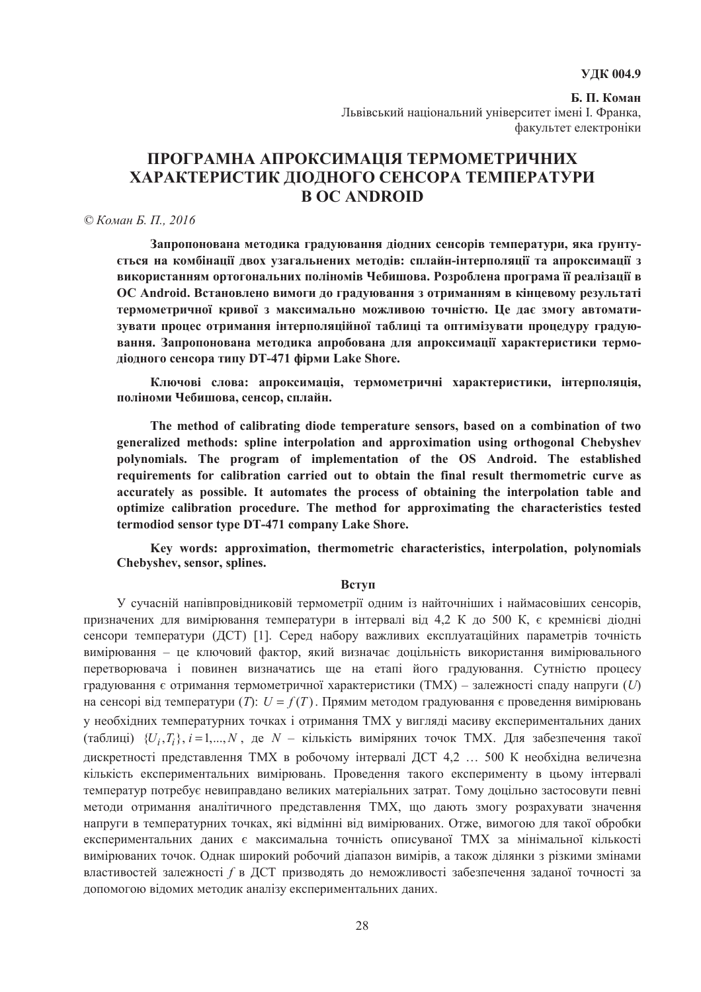# **ɍȾɄ 004.9**

**Ҕ. П. Коман** Львівський національний університет імені І. Франка, факультет електроніки

# ПРОГРАМНА АПРОКСИМАЦІЯ ТЕРМОМЕТРИЧНИХ ХАРАКТЕРИСТИК ЛЮЛНОГО СЕНСОРА ТЕМПЕРАТУРИ **B OC ANDROID**

# *© Ʉɨɦɚɧ Ȼ. ɉ., 2016*

Запропонована методика градуювання діодних сенсорів температури, яка ґрунту- $C$ ться на комбінації двох узагальнених методів: сплайн-інтерполяції та апроксимації з використанням ортогональних поліномів Чебишова. Розроблена програма її реалізації в ОС Android. Встановлено вимоги до градуювання з отриманням в кінцевому результаті термометричної кривої з максимально можливою точністю. Це дає змогу автоматизувати процес отримання інтерполяційної таблиці та оптимізувати процедуру градую**вання. Запропонована метолика апробована лля апроксимації характеристики термо-** $\mu$ **iодного сенсора типу DT-471 фiрми Lake Shore.** 

Ключові слова: апроксимація, термометричні характеристики, інтерполяція, поліноми Чебишова, сенсор, сплайн.

**The method of calibrating diode temperature sensors, based on a combination of two generalized methods: spline interpolation and approximation using orthogonal Chebyshev polynomials. The program of implementation of the OS Android. The established requirements for calibration carried out to obtain the final result thermometric curve as accurately as possible. It automates the process of obtaining the interpolation table and optimize calibration procedure. The method for approximating the characteristics tested termodiod sensor type DT-471 company Lake Shore.** 

**Key words: approximation, thermometric characteristics, interpolation, polynomials Chebyshev, sensor, splines.**

#### **Вступ**

У сучасній напівпровідниковій термометрії одним із найточніших і наймасовіших сенсорів, призначених для вимірювання температури в інтервалі від 4,2 К до 500 К, є кремнієві діодні сенсори температури (ДСТ) [1]. Серед набору важливих експлуатаційних параметрів точність вимірювання – це ключовий фактор, який визначає доцільність використання вимірювального перетворювача і повинен визначатись ще на етапі його градуювання. Сутністю процесу градуювання є отримання термометричної характеристики (ТМХ) – залежності спаду напруги (U) на сенсорі від температури (*T*):  $U = f(T)$ . Прямим методом градуювання є проведення вимірювань у необхідних температурних точках і отримання ТМХ у вигляді масиву експериментальних даних (таблиці) { $U_i, T_i$ },  $i = 1,..., N$ , де  $N -$  кількість виміряних точок ТМХ. Для забезпечення такої лискретності представлення ТМХ в робочому інтервалі ДСТ 4.2 … 500 К необхідна величезна кількість експериментальних вимірювань. Проведення такого експерименту в цьому інтервалі температур потребує невиправдано великих матеріальних затрат. Тому доцільно застосовути певні методи отримання аналітичного представлення ТМХ, що дають змогу розрахувати значення напруги в температурних точках, які відмінні від вимірюваних. Отже, вимогою для такої обробки експериментальних даних є максимальна точність описуваної ТМХ за мінімальної кількості вимірюваних точок. Однак широкий робочий діапазон вимірів, а також ділянки з різкими змінами властивостей залежності *f* в ДСТ призволять до неможливості забезпечення заланої точності за допомогою відомих методик аналізу експериментальних даних.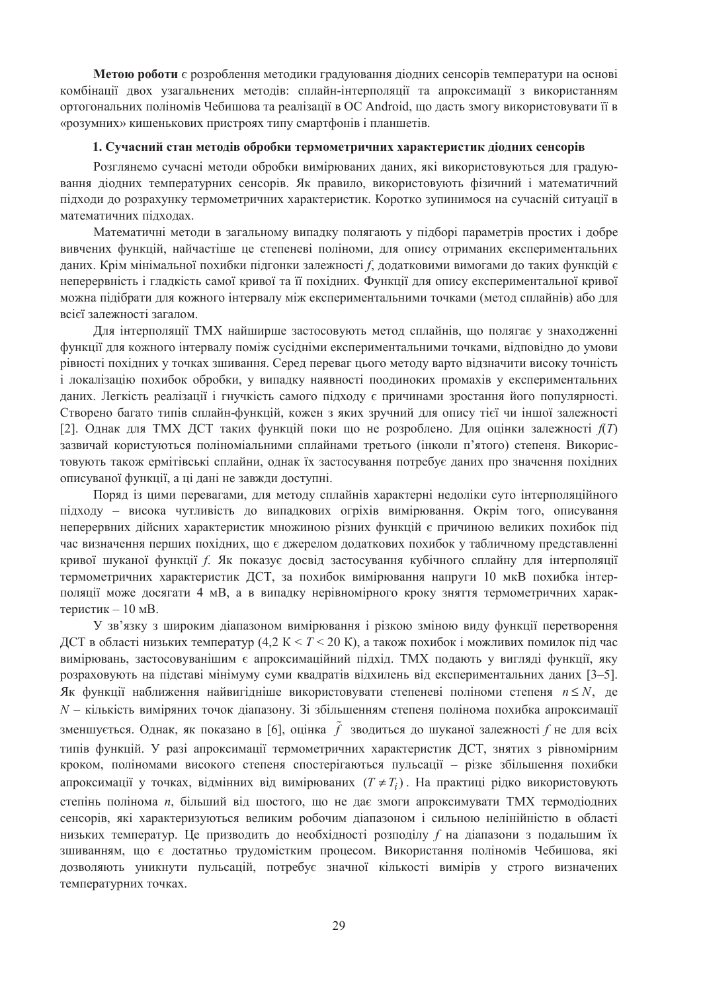**Метою роботи** є розроблення методики градуювання діодних сенсорів температури на основі комбінації двох узагальнених методів: сплайн-інтерполяції та апроксимації з використанням ортогональних поліномів Чебишова та реалізації в ОС Android, що дасть змогу використовувати її в «розумних» кишенькових пристроях типу смартфонів і планшетів.

# 1. Сучасний стан методів обробки термометричних характеристик діодних сенсорів

Розглянемо сучасні методи обробки вимірюваних даних, які використовуються для градуювання діодних температурних сенсорів. Як правило, використовують фізичний і математичний підходи до розрахунку термометричних характеристик. Коротко зупинимося на сучасній ситуації в математичних підходах.

Математичні методи в загальному випадку полягають у підборі параметрів простих і добре вивчених функцій, найчастіше це степеневі поліноми, для опису отриманих експериментальних даних. Крім мінімальної похибки підгонки залежності *f*, додатковими вимогами до таких функцій є неперервність і глалкість самої кривої та її похілних. Функції лля опису експериментальної кривої можна підібрати для кожного інтервалу між експериментальними точками (метод сплайнів) або для всієї залежності загалом.

Для інтерполяції ТМХ найширше застосовують метод сплайнів, що полягає у знаходженні функції для кожного інтервалу поміж сусідніми експериментальними точками, відповідно до умови рівності похідних у точках зшивання. Серед переваг цього методу варто відзначити високу точність і локалізацію похибок обробки, у випадку наявності поодиноких промахів у експериментальних даних. Легкість реалізації і гнучкість самого пілхолу є причинами зростання його популярності. Створено багато типів сплайн-функцій, кожен з яких зручний для опису тієї чи іншої залежності [2]. Однак для ТМХ ДСТ таких функцій поки що не розроблено. Для оцінки залежності  $f(T)$ зазвичай користуються поліноміальними сплайнами третього (інколи п'ятого) степеня. Використовують також ермітівські сплайни, однак їх застосування потребує даних про значення похідних описуваної функції, а ці дані не завжди доступні.

Поряд із цими перевагами, для методу сплайнів характерні недоліки суто інтерполяційного підходу – висока чутливість до випадкових огріхів вимірювання. Окрім того, описування неперервних дійсних характеристик множиною різних функцій є причиною великих похибок під час визначення перших похідних, що є джерелом додаткових похибок у табличному представленні кривої шуканої функції f. Як показує досвід застосування кубічного сплайну для інтерполяції термометричних характеристик ДСТ, за похибок вимірювання напруги 10 мкВ похибка інтерполяції може досягати 4 мВ, а в випадку нерівномірного кроку зняття термометричних характеристик – 10 мВ.

У зв'язку з широким діапазоном вимірювання і різкою зміною виду функції перетворення ДСТ в області низьких температур (4,2 К < *Т* < 20 К), а також похибок і можливих помилок під час вимірювань, застосовуванішим є апроксимаційний підхід. ТМХ подають у вигляді функції, яку розраховують на підставі мінімуму суми квадратів відхилень від експериментальних даних [3–5]. Як функції наближення найвигідніше використовувати степеневі поліноми степеня  $n \leq N$ , де *N* – кількість виміряних точок діапазону. Зі збільшенням степеня полінома похибка апроксимації зменшується. Однак, як показано в [6], оцінка  $\tilde{f}$  зводиться до шуканої залежності  $f$ не для всіх типів функцій. У разі апроксимації термометричних характеристик ДСТ, знятих з рівномірним кроком, поліномами високого степеня спостерігаються пульсації – різке збільшення похибки апроксимації у точках, відмінних від вимірюваних  $(T \neq T_i)$ . На практиці рідко використовують степінь полінома *n*, більший від шостого, що не дає змоги апроксимувати ТМХ термодіодних сенсорів, які характеризуються великим робочим діапазоном і сильною нелінійністю в області низьких температур. Це призводить до необхідності розподілу f на діапазони з подальшим їх зшиванням, що є достатньо трудомістким процесом. Використання поліномів Чебишова, які дозволяють уникнути пульсацій, потребує значної кількості вимірів у строго визначених температурних точках.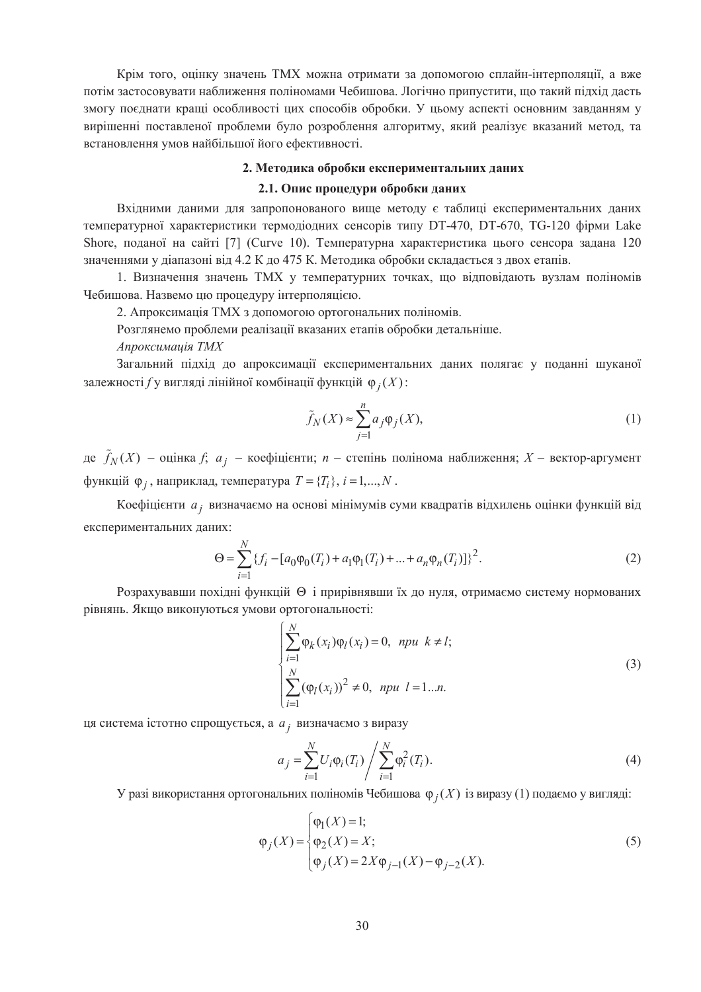Крім того, оцінку значень ТМХ можна отримати за допомогою сплайн-інтерполяції, а вже потім застосовувати наближення поліномами Чебишова. Логічно припустити, що такий підхід дасть змогу поєднати кращі особливості цих способів обробки. У цьому аспекті основним завданням у вирішенні поставленої проблеми було розроблення алгоритму, який реалізує вказаний метол, та встановлення умов найбільшої його ефективності.

## 2. Методика обробки експериментальних даних

#### 2.1. Опис процедури обробки даних

Вхідними даними для запропонованого вище методу є таблиці експериментальних даних температурної характеристики термодіодних сенсорів типу DT-470, DT-670, TG-120 фірми Lake Shore, поданої на сайті [7] (Curve 10). Температурна характеристика цього сенсора задана 120 значеннями у діапазоні від 4.2 К до 475 К. Методика обробки складається з двох етапів.

1. Визначення значень ТМХ у температурних точках, що відповідають вузлам поліномів Чебишова. Назвемо цю процедуру інтерполяцією.

2. Апроксимація ТМХ з допомогою ортогональних поліномів.

Розглянемо проблеми реалізації вказаних етапів обробки детальніше.

Апроксимаиія ТМХ

Загальний підхід до апроксимації експериментальних даних полягає у поданні шуканої залежності *f* у вигляді лінійної комбінації функцій φ<sub>*i*</sub>(X):

$$
\tilde{f}_N(X) \approx \sum_{j=1}^n a_j \varphi_j(X),\tag{1}
$$

де  $\tilde{f}_N(X)$  – оцінка  $f$ ;  $a_j$  – коефіцієнти; *n* – степінь полінома наближення; *X* – вектор-аргумент функцій  $\varphi_j$ , наприклад, температура  $T = \{T_i\}$ ,  $i = 1, ..., N$ .

Коефіцієнти *а<sub>ј</sub>* визначаємо на основі мінімумів суми квадратів відхилень оцінки функцій від експериментальних даних:

$$
\Theta = \sum_{i=1}^{N} \{ f_i - [a_0 \varphi_0(T_i) + a_1 \varphi_1(T_i) + \dots + a_n \varphi_n(T_i)] \}^2.
$$
 (2)

Розрахувавши похідні функцій  $\Theta$  і прирівнявши їх до нуля, отримаємо систему нормованих рівнянь. Якщо виконуються умови ортогональності:

$$
\begin{cases}\n\sum_{i=1}^{N} \varphi_k(x_i) \varphi_l(x_i) = 0, & \text{npu } k \neq l; \\
\sum_{i=1}^{N} (\varphi_l(x_i))^2 \neq 0, & \text{npu } l = 1...n.\n\end{cases}
$$
\n(3)

ця система істотно спрощується, а *а<sub>ј</sub> визначає*мо з виразу

$$
a_j = \sum_{i=1}^{N} U_i \varphi_i(T_i) / \sum_{i=1}^{N} \varphi_i^2(T_i).
$$
 (4)

У разі використання ортогональних поліномів Чебишова φ<sub>i</sub>(X) із виразу (1) подаємо у вигляді:

$$
\varphi_j(X) = \begin{cases}\n\varphi_1(X) = 1; \\
\varphi_2(X) = X; \\
\varphi_j(X) = 2X\varphi_{j-1}(X) - \varphi_{j-2}(X).\n\end{cases}
$$
\n(5)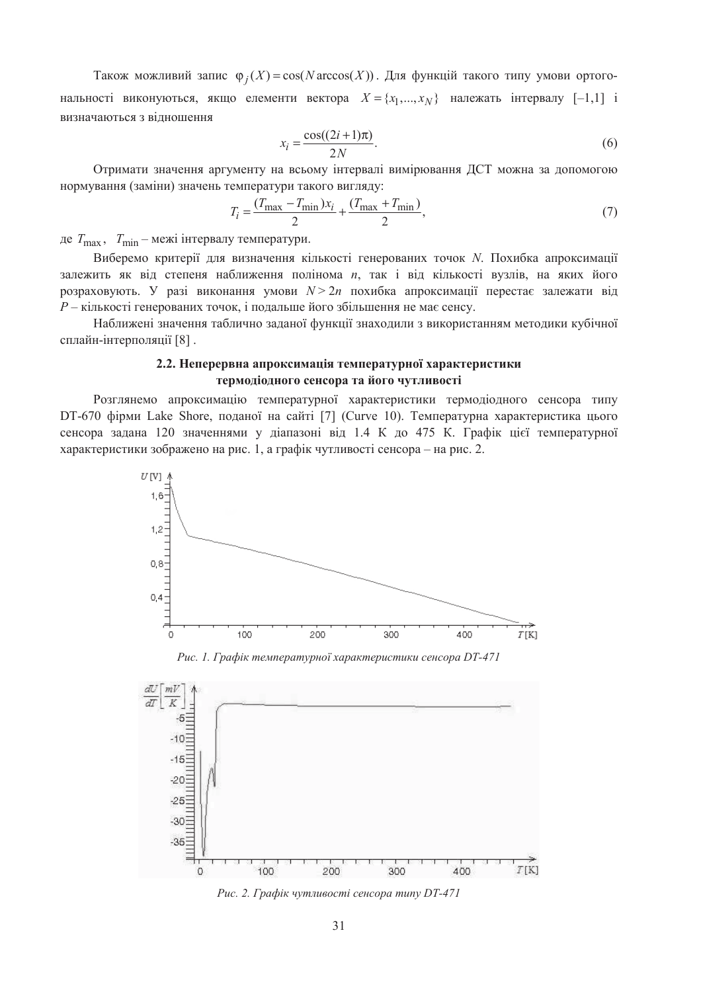Також можливий запис  $\varphi_i(X) = \cos(N \arccos(X))$ . Для функцій такого типу умови ортогональності виконуються, якщо елементи вектора  $X = \{x_1, ..., x_N\}$  належать інтервалу [-1,1] і визначаються з вілношення

$$
x_i = \frac{\cos((2i+1)\pi)}{2N}.\tag{6}
$$

Отримати значення аргументу на всьому інтервалі вимірювання ДСТ можна за допомогою нормування (заміни) значень температури такого вигляду:

$$
T_i = \frac{(T_{\text{max}} - T_{\text{min}})x_i}{2} + \frac{(T_{\text{max}} + T_{\text{min}})}{2},\tag{7}
$$

де  $T_{\text{max}}$ ,  $T_{\text{min}}$  – межі інтервалу температури.

Виберемо критерії для визначення кількості генерованих точок *N*. Похибка апроксимації залежить як від степеня наближення полінома *n*, так і від кількості вузлів, на яких його розраховують. У разі виконання умови  $N > 2n$  похибка апроксимації перестає залежати від  $P$  – кількості генерованих точок, і подальше його збільшення не має сенсу.

Наближені значення таблично заданої функції знаходили з використанням методики кубічної сплайн-інтерполяції [8].

# 2.2. Неперервна апроксимація температурної характеристики термодіодного сенсора та його чутливості

Розглянемо апроксимацію температурної характеристики термодіодного сенсора типу DT-670 фірми Lake Shore, поданої на сайті [7] (Curve 10). Температурна характеристика цього сенсора залана 120 значеннями у ліапазоні віл 1.4 К ло 475 К. Графік цієї температурної характеристики зображено на рис. 1, а графік чутливості сенсора – на рис. 2.



Рис. 1. Графік температурної характеристики сенсора DT-471



Рис. 2. Графік чутливості сенсора типу DT-471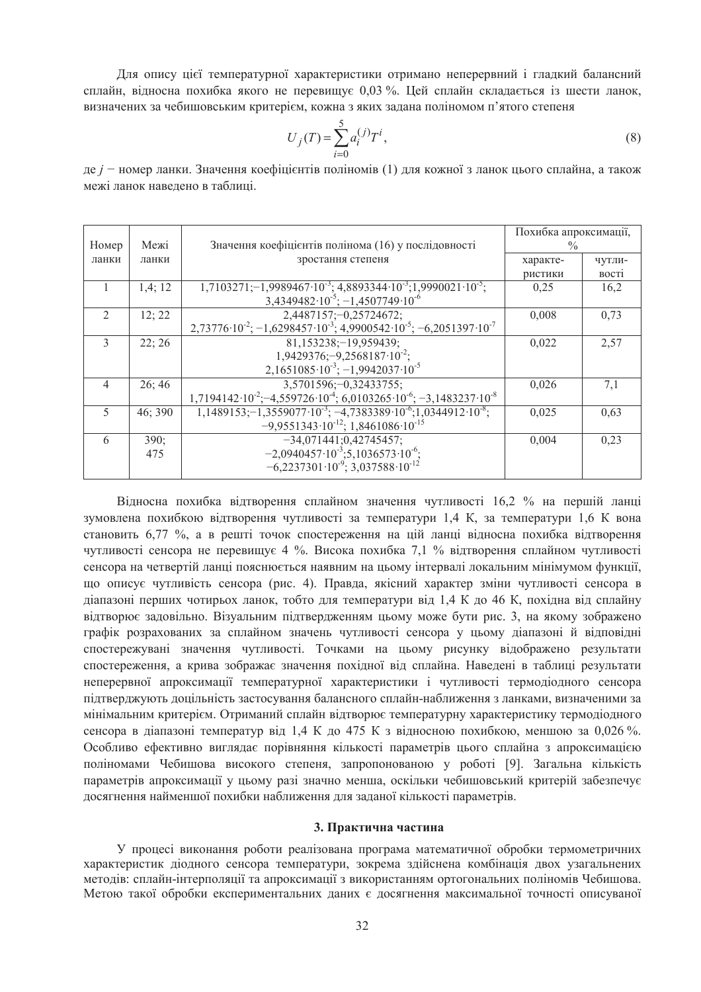Для опису цієї температурної характеристики отримано неперервний і гладкий балансний сплайн, відносна похибка якого не перевищує 0,03 %. Цей сплайн складається із шести ланок, визначених за чебишовським критерієм, кожна з яких задана поліномом п'ятого степеня

$$
U_j(T) = \sum_{i=0}^{5} a_i^{(j)} T^i,
$$
\n(8)

де *j* − номер ланки. Значення коефіцієнтів поліномів (1) для кожної з ланок цього сплайна, а також межі ланок навелено в таблиці

| Номер          | Межі    | Значення коефіцієнтів полінома (16) у послідовності                                                           | Похибка апроксимації,<br>$\frac{0}{0}$ |              |
|----------------|---------|---------------------------------------------------------------------------------------------------------------|----------------------------------------|--------------|
| ланки          | ланки   | зростання степеня                                                                                             | характе-                               | чутли-       |
|                |         |                                                                                                               | ристики                                | <b>BOCTI</b> |
|                | 1,4;12  | $1,7103271; -1,9989467 \cdot 10^{-3}$ ; 4,8893344 $\cdot 10^{-3}$ ; 1,9990021 $\cdot 10^{-5}$ ;               | 0,25                                   | 16,2         |
|                |         | $3,4349482 \cdot 10^{-5}$ ; $-1,4507749 \cdot 10^{-6}$                                                        |                                        |              |
| $\mathfrak{D}$ | 12; 22  | 2,4487157; -0,25724672;                                                                                       | 0,008                                  | 0,73         |
|                |         | $2,73776 \cdot 10^{-2}$ ; $-1,6298457 \cdot 10^{-3}$ ; $4,9900542 \cdot 10^{-5}$ ; $-6,2051397 \cdot 10^{-7}$ |                                        |              |
| $\mathcal{E}$  | 22:26   | 81,153238;-19,959439;                                                                                         | 0,022                                  | 2,57         |
|                |         | $1,9429376; -9,2568187 \cdot 10^{-2};$                                                                        |                                        |              |
|                |         | $2,1651085 \cdot 10^{-3}$ ; $-1,9942037 \cdot 10^{-5}$                                                        |                                        |              |
| 4              | 26:46   | $3,5701596; -0,32433755;$                                                                                     | 0,026                                  | 7,1          |
|                |         | $1,7194142 \cdot 10^{-2}$ ; -4,559726 $10^{-4}$ ; 6,0103265 $10^{-6}$ ; -3,1483237 $10^{-8}$                  |                                        |              |
| 5              | 46; 390 | $1,1489153; -1,3559077 \cdot 10^{-3}$ ; $-4,7383389 \cdot 10^{-6}$ ; 1,0344912 $\cdot 10^{-8}$ ;              | 0,025                                  | 0,63         |
|                |         | $-9,9551343 \cdot 10^{-12}$ ; 1,8461086 10 <sup>-15</sup>                                                     |                                        |              |
| 6              | 390;    | $-34,071441;0,42745457;$                                                                                      | 0,004                                  | 0,23         |
|                | 475     | $-2,0940457 \cdot 10^{-3}; 5,1036573 \cdot 10^{-6};$                                                          |                                        |              |
|                |         | $-6.2237301 \cdot 10^{-9}$ ; 3.037588 $\cdot 10^{-12}$                                                        |                                        |              |

Відносна похибка відтворення сплайном значення чутливості 16,2 % на першій ланці зумовлена похибкою відтворення чутливості за температури 1,4 К, за температури 1,6 К вона становить 6,77 %, а в решті точок спостереження на цій ланці відносна похибка відтворення чутливості сенсора не перевищує 4 %. Висока похибка 7,1 % відтворення сплайном чутливості сенсора на четвертій ланці пояснюється наявним на цьому інтервалі локальним мінімумом функції, що описує чутливість сенсора (рис. 4). Правда, якісний характер зміни чутливості сенсора в діапазоні перших чотирьох ланок, тобто для температури від 1,4 К до 46 К, похідна від сплайну відтворює задовільно. Візуальним підтвердженням цьому може бути рис. 3, на якому зображено графік розрахованих за сплайном значень чутливості сенсора у цьому діапазоні й відповідні спостережувані значення чутливості. Точками на цьому рисунку відображено результати спостереження, а крива зображає значення похідної від сплайна. Наведені в таблиці результати неперервної апроксимації температурної характеристики і чутливості термодіодного сенсора підтверджують доцільність застосування балансного сплайн-наближення з ланками, визначеними за мінімальним критерієм. Отриманий сплайн відтворює температурну характеристику термодіодного сенсора в ліапазоні температур від 1,4 К до 475 К з відносною похибкою, меншою за 0,026 %. Особливо ефективно виглядає порівняння кількості параметрів цього сплайна з апроксимацією поліномами Чебишова високого степеня, запропонованою у роботі [9]. Загальна кількість параметрів апроксимації у цьому разі значно менша, оскільки чебишовський критерій забезпечує досягнення найменшої похибки наближення для заданої кількості параметрів.

#### 3. Практична частина

У процесі виконання роботи реалізована програма математичної обробки термометричних характеристик діодного сенсора температури, зокрема здійснена комбінація двох узагальнених методів: сплайн-інтерполяції та апроксимації з використанням ортогональних поліномів Чебишова. Метою такої обробки експериментальних даних є досягнення максимальної точності описуваної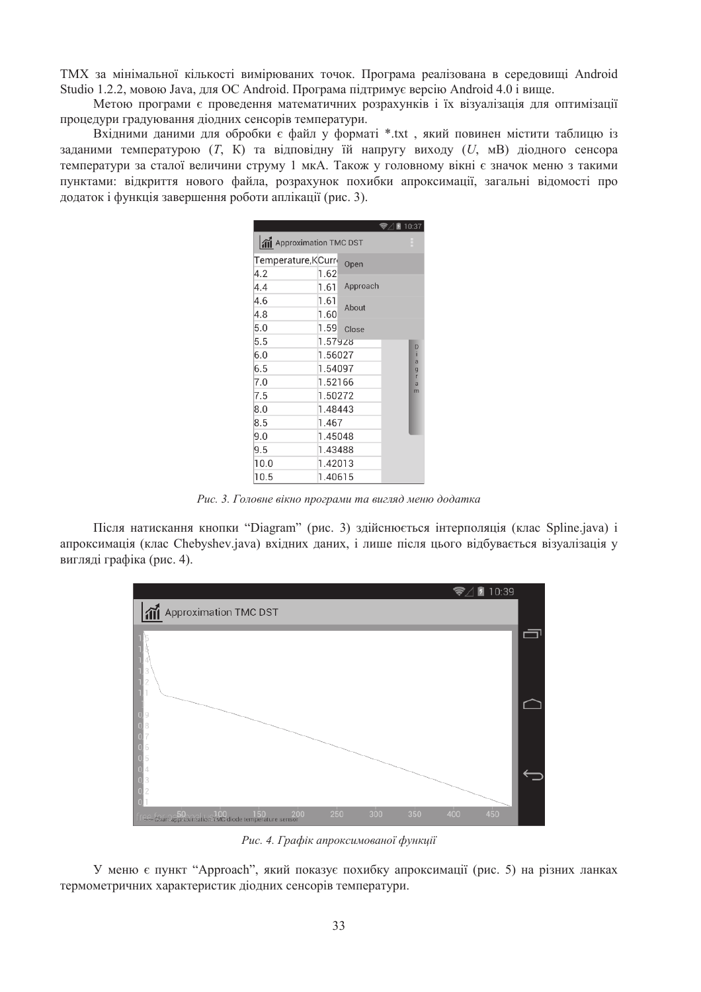ТМХ за мінімальної кількості вимірюваних точок. Програма реалізована в середовищі Android Studio 1.2.2, мовою Java, для ОС Android. Програма підтримує версію Android 4.0 і вище.

Метою програми є проведення математичних розрахунків і їх візуалізація для оптимізації процедури градуювання діодних сенсорів температури.

Вхідними даними для обробки є файл у форматі \*.txt, який повинен містити таблицю із заданими температурою (T, K) та відповідну їй напругу виходу (U, мВ) діодного сенсора температури за сталої величини струму 1 мкА. Також у головному вікні є значок меню з такими пунктами: відкриття нового файла, розрахунок похибки апроксимації, загальні відомості про додаток і функція завершення роботи аплікації (рис. 3).

|                           |            |          | <b>◆△</b> 10:37 |              |  |  |
|---------------------------|------------|----------|-----------------|--------------|--|--|
| And Approximation TMC DST |            |          |                 |              |  |  |
| Temperature, KCurr        |            | Open     |                 |              |  |  |
| 4.2                       | 1.62       |          |                 |              |  |  |
| 4.4                       | 1.61       | Approach |                 |              |  |  |
| 4.6                       | 1.61       | About    |                 |              |  |  |
| 4.8                       | 1.60       |          |                 |              |  |  |
| 5.0                       | 1.59       | Close    |                 |              |  |  |
| 5.5                       | $1.57$ 928 |          |                 | D            |  |  |
| 6.0                       | 1.56027    |          |                 | ï<br>a       |  |  |
| 6.5                       | 1.54097    |          |                 | $\mathbf{g}$ |  |  |
| 7.0                       | 1.52166    |          |                 | r<br>a       |  |  |
| 7.5                       | 1.50272    |          |                 | m            |  |  |
| 8.0                       | 1.48443    |          |                 |              |  |  |
| 8.5                       | 1.467      |          |                 |              |  |  |
| 9.0                       | 1.45048    |          |                 |              |  |  |
| 9.5                       | 1.43488    |          |                 |              |  |  |
| 10.0                      | 1.42013    |          |                 |              |  |  |
| 10.5                      | 1.40615    |          |                 |              |  |  |

Рис. 3. Головне вікно програми та вигляд меню додатка

Після натискання кнопки "Diagram" (рис. 3) здійснюється інтерполяція (клас Spline.java) і апроксимація (клас Chebyshev.java) вхідних даних, і лише після цього відбувається візуалізація у виглялі графіка (рис. 4).



Рис. 4. Графік апроксимованої функції

У меню є пункт "Approach", який показує похибку апроксимації (рис. 5) на різних ланках термометричних характеристик ліолних сенсорів температури.